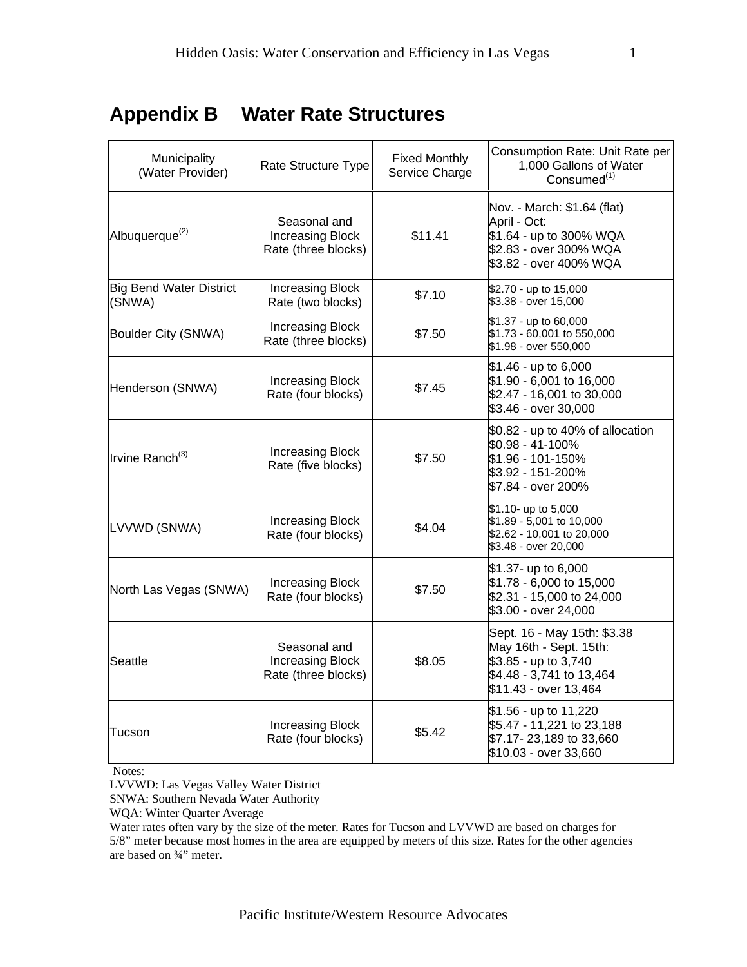## **Appendix B Water Rate Structures**

| Municipality<br>(Water Provider)         | Rate Structure Type                                            | <b>Fixed Monthly</b><br>Service Charge | Consumption Rate: Unit Rate per<br>1,000 Gallons of Water<br>Consumed $(1)$                                                        |
|------------------------------------------|----------------------------------------------------------------|----------------------------------------|------------------------------------------------------------------------------------------------------------------------------------|
| Albuquerque <sup>(2)</sup>               | Seasonal and<br><b>Increasing Block</b><br>Rate (three blocks) | \$11.41                                | Nov. - March: \$1.64 (flat)<br>April - Oct:<br>\$1.64 - up to 300% WQA<br>\$2.83 - over 300% WQA<br>\$3.82 - over 400% WQA         |
| <b>Big Bend Water District</b><br>(SNWA) | <b>Increasing Block</b><br>Rate (two blocks)                   | \$7.10                                 | \$2.70 - up to 15,000<br>\$3.38 - over 15,000                                                                                      |
| Boulder City (SNWA)                      | <b>Increasing Block</b><br>Rate (three blocks)                 | \$7.50                                 | \$1.37 - up to 60,000<br>\$1.73 - 60,001 to 550,000<br>\$1.98 - over 550,000                                                       |
| Henderson (SNWA)                         | Increasing Block<br>Rate (four blocks)                         | \$7.45                                 | $$1.46 - up to 6,000$<br>\$1.90 - 6,001 to 16,000<br>\$2.47 - 16,001 to 30,000<br>\$3.46 - over 30,000                             |
| Irvine Ranch <sup>(3)</sup>              | <b>Increasing Block</b><br>Rate (five blocks)                  | \$7.50                                 | $$0.82$ - up to 40% of allocation<br>\$0.98 - 41-100%<br>\$1.96 - 101-150%<br>\$3.92 - 151-200%<br>\$7.84 - over 200%              |
| LVVWD (SNWA)                             | Increasing Block<br>Rate (four blocks)                         | \$4.04                                 | \$1.10- up to 5,000<br>\$1.89 - 5,001 to 10,000<br>\$2.62 - 10,001 to 20,000<br>\$3.48 - over 20,000                               |
| North Las Vegas (SNWA)                   | <b>Increasing Block</b><br>Rate (four blocks)                  | \$7.50                                 | \$1.37- up to 6,000<br>\$1.78 - 6,000 to 15,000<br>\$2.31 - 15,000 to 24,000<br>\$3.00 - over 24,000                               |
| Seattle                                  | Seasonal and<br><b>Increasing Block</b><br>Rate (three blocks) | \$8.05                                 | Sept. 16 - May 15th: \$3.38<br>May 16th - Sept. 15th:<br>\$3.85 - up to 3,740<br>\$4.48 - 3,741 to 13,464<br>\$11.43 - over 13,464 |
| Tucson                                   | <b>Increasing Block</b><br>Rate (four blocks)                  | \$5.42                                 | \$1.56 - up to 11,220<br>\$5.47 - 11,221 to 23,188<br>\$7.17-23,189 to 33,660<br>\$10.03 - over 33,660                             |

Notes:

LVVWD: Las Vegas Valley Water District

SNWA: Southern Nevada Water Authority

WQA: Winter Quarter Average

Water rates often vary by the size of the meter. Rates for Tucson and LVVWD are based on charges for 5/8" meter because most homes in the area are equipped by meters of this size. Rates for the other agencies are based on ¾" meter.